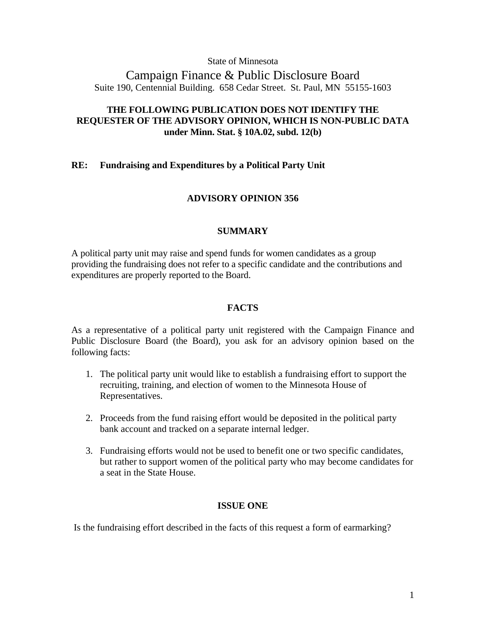State of Minnesota

Campaign Finance & Public Disclosure Board Suite 190, Centennial Building. 658 Cedar Street. St. Paul, MN 55155-1603

# **THE FOLLOWING PUBLICATION DOES NOT IDENTIFY THE REQUESTER OF THE ADVISORY OPINION, WHICH IS NON-PUBLIC DATA under Minn. Stat. § 10A.02, subd. 12(b)**

# **RE: Fundraising and Expenditures by a Political Party Unit**

## **ADVISORY OPINION 356**

## **SUMMARY**

A political party unit may raise and spend funds for women candidates as a group providing the fundraising does not refer to a specific candidate and the contributions and expenditures are properly reported to the Board.

# **FACTS**

As a representative of a political party unit registered with the Campaign Finance and Public Disclosure Board (the Board), you ask for an advisory opinion based on the following facts:

- 1. The political party unit would like to establish a fundraising effort to support the recruiting, training, and election of women to the Minnesota House of Representatives.
- 2. Proceeds from the fund raising effort would be deposited in the political party bank account and tracked on a separate internal ledger.
- 3. Fundraising efforts would not be used to benefit one or two specific candidates, but rather to support women of the political party who may become candidates for a seat in the State House.

## **ISSUE ONE**

Is the fundraising effort described in the facts of this request a form of earmarking?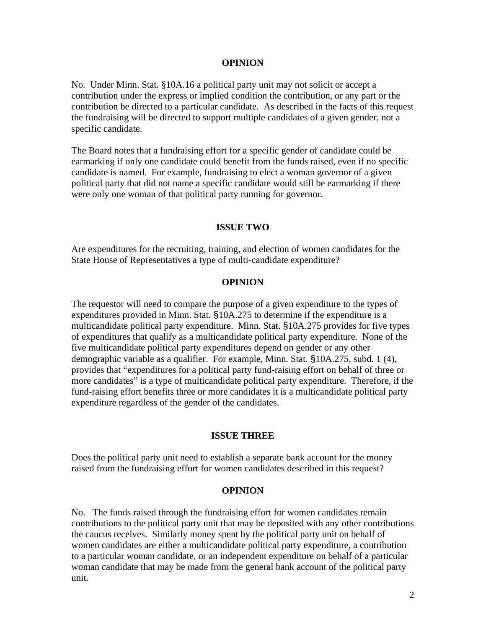#### **OPINION**

No. Under Minn. Stat. §10A.16 a political party unit may not solicit or accept a contribution under the express or implied condition the contribution, or any part or the contribution be directed to a particular candidate. As described in the facts of this request the fundraising will be directed to support multiple candidates of a given gender, not a specific candidate.

The Board notes that a fundraising effort for a specific gender of candidate could be earmarking if only one candidate could benefit from the funds raised, even if no specific candidate is named. For example, fundraising to elect a woman governor of a given political party that did not name a specific candidate would still be earmarking if there were only one woman of that political party running for governor.

### **ISSUE TWO**

Are expenditures for the recruiting, training, and election of women candidates for the State House of Representatives a type of multi-candidate expenditure?

#### **OPINION**

The requestor will need to compare the purpose of a given expenditure to the types of expenditures provided in Minn. Stat. §10A.275 to determine if the expenditure is a multicandidate political party expenditure. Minn. Stat. §10A.275 provides for five types of expenditures that qualify as a multicandidate political party expenditure. None of the five multicandidate political party expenditures depend on gender or any other demographic variable as a qualifier. For example, Minn. Stat. §10A.275, subd. 1 (4), provides that "expenditures for a political party fund-raising effort on behalf of three or more candidates" is a type of multicandidate political party expenditure. Therefore, if the fund-raising effort benefits three or more candidates it is a multicandidate political party expenditure regardless of the gender of the candidates.

### **ISSUE THREE**

Does the political party unit need to establish a separate bank account for the money raised from the fundraising effort for women candidates described in this request?

#### **OPINION**

No. The funds raised through the fundraising effort for women candidates remain contributions to the political party unit that may be deposited with any other contributions the caucus receives. Similarly money spent by the political party unit on behalf of women candidates are either a multicandidate political party expenditure, a contribution to a particular woman candidate, or an independent expenditure on behalf of a particular woman candidate that may be made from the general bank account of the political party unit.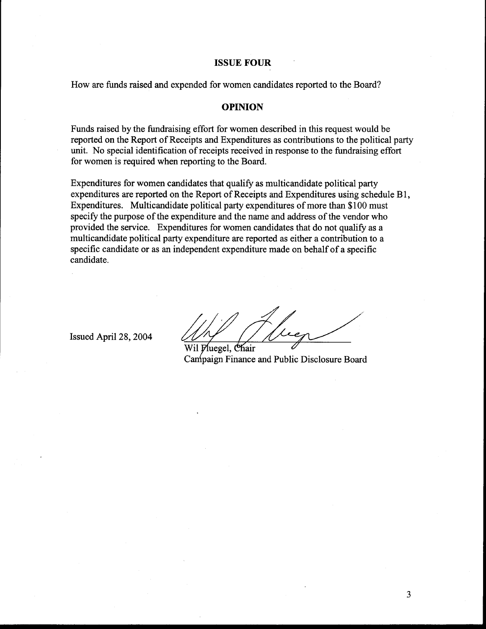#### **ISSUE FOUR**

How are funds raised and expended for women candidates reported to the Board?

### **OPINION**

Funds raised by the fundraising effort for women described in this request would be reported on the Report of Receipts and Expenditures as contributions to the political party unit. No special identification of receipts received in response to the fundraising effort for women is required when reporting to the Board.

Expenditures for women candidates that qualify as multicandidate political party expenditures are reported on the Report of Receipts and Expenditures using schedule B1, Expenditures. Multicandidate political party expenditures of more than \$100 must specify the purpose of the expenditure and the name and address of the vendor who provided the service. Expenditures for women candidates that do not qualify as a multicandidate political party expenditure are reported as either a contribution to a specific candidate or as an independent expenditure made on behalf of a specific candidate.

Issued April 28, 2004

Wil Pluegel, Chair Campaign Finance and Public Disclosure Board